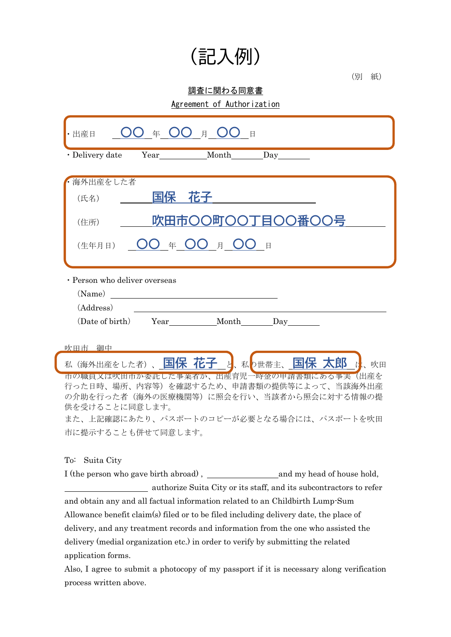## (記入例)

(別 紙)

## 調査に関わる同意書

Agreement of Authorization

| ) 年 OO 月 OO 日<br>・出産日                                                                |  |  |  |
|--------------------------------------------------------------------------------------|--|--|--|
| Year Month Day<br>· Delivery date                                                    |  |  |  |
| 海外出産をした者                                                                             |  |  |  |
| 国保 花子<br>(氏名)                                                                        |  |  |  |
| 吹田市〇〇町〇〇丁<br><b>EOO番OO号</b><br>(住所)                                                  |  |  |  |
| $OO \# OO \# OO$<br>$\Box$<br>(生年月日)                                                 |  |  |  |
| · Person who deliver overseas                                                        |  |  |  |
| $(Name)$                                                                             |  |  |  |
| (Address)                                                                            |  |  |  |
| (Date of birth) Year Month Day                                                       |  |  |  |
| 吹田市 御中                                                                               |  |  |  |
| 私(海外出産をした者)、国保花子 と、私p世帯主、国保太郎 は、吹田                                                   |  |  |  |
| 市の職員又は吹田市が委託した事業者が、出産育児一時金の甲請書類にある事実(出産を<br>行った日時、場所、内容等)を確認するため、申請書類の提供等によって、当該海外出産 |  |  |  |
| の介助を行った者(海外の医療機関等)に照会を行い、当該者から照会に対する情報の提                                             |  |  |  |
| 供を受けることに同意します。                                                                       |  |  |  |
| また、上記確認にあたり、パスポートのコピーが必要となる場合には、パスポートを吹田                                             |  |  |  |
| 市に提示することも併せて同意します。                                                                   |  |  |  |
| To: Suita City                                                                       |  |  |  |
| I (the person who gave birth abroad),<br>and my head of house hold,                  |  |  |  |

 authorize Suita City or its staff, and its subcontractors to refer and obtain any and all factual information related to an Childbirth Lump-Sum Allowance benefit claim(s) filed or to be filed including delivery date, the place of delivery, and any treatment records and information from the one who assisted the delivery (medial organization etc.) in order to verify by submitting the related application forms.

Also, I agree to submit a photocopy of my passport if it is necessary along verification process written above.